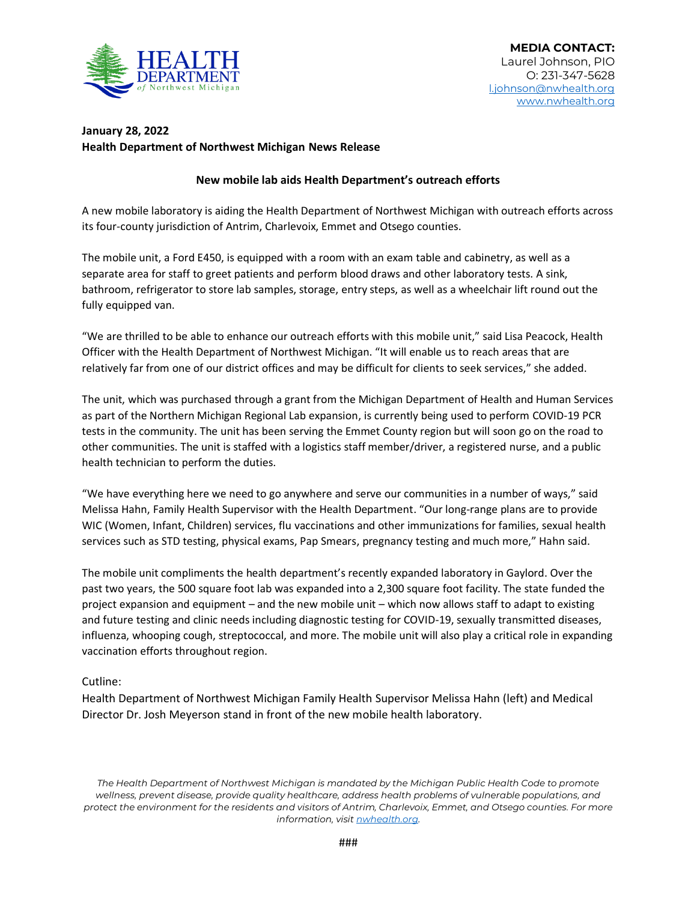

## **January 28, 2022 Health Department of Northwest Michigan News Release**

## **New mobile lab aids Health Department's outreach efforts**

A new mobile laboratory is aiding the Health Department of Northwest Michigan with outreach efforts across its four-county jurisdiction of Antrim, Charlevoix, Emmet and Otsego counties.

The mobile unit, a Ford E450, is equipped with a room with an exam table and cabinetry, as well as a separate area for staff to greet patients and perform blood draws and other laboratory tests. A sink, bathroom, refrigerator to store lab samples, storage, entry steps, as well as a wheelchair lift round out the fully equipped van.

"We are thrilled to be able to enhance our outreach efforts with this mobile unit," said Lisa Peacock, Health Officer with the Health Department of Northwest Michigan. "It will enable us to reach areas that are relatively far from one of our district offices and may be difficult for clients to seek services," she added.

The unit, which was purchased through a grant from the Michigan Department of Health and Human Services as part of the Northern Michigan Regional Lab expansion, is currently being used to perform COVID-19 PCR tests in the community. The unit has been serving the Emmet County region but will soon go on the road to other communities. The unit is staffed with a logistics staff member/driver, a registered nurse, and a public health technician to perform the duties.

"We have everything here we need to go anywhere and serve our communities in a number of ways," said Melissa Hahn, Family Health Supervisor with the Health Department. "Our long-range plans are to provide WIC (Women, Infant, Children) services, flu vaccinations and other immunizations for families, sexual health services such as STD testing, physical exams, Pap Smears, pregnancy testing and much more," Hahn said.

The mobile unit compliments the health department's recently expanded laboratory in Gaylord. Over the past two years, the 500 square foot lab was expanded into a 2,300 square foot facility. The state funded the project expansion and equipment – and the new mobile unit – which now allows staff to adapt to existing and future testing and clinic needs including diagnostic testing for COVID-19, sexually transmitted diseases, influenza, whooping cough, streptococcal, and more. The mobile unit will also play a critical role in expanding vaccination efforts throughout region.

## Cutline:

Health Department of Northwest Michigan Family Health Supervisor Melissa Hahn (left) and Medical Director Dr. Josh Meyerson stand in front of the new mobile health laboratory.

*The Health Department of Northwest Michigan is mandated by the Michigan Public Health Code to promote wellness, prevent disease, provide quality healthcare, address health problems of vulnerable populations, and protect the environment for the residents and visitors of Antrim, Charlevoix, Emmet, and Otsego counties. For more information, visi[t nwhealth.org.](http://nwhealth.org/)*